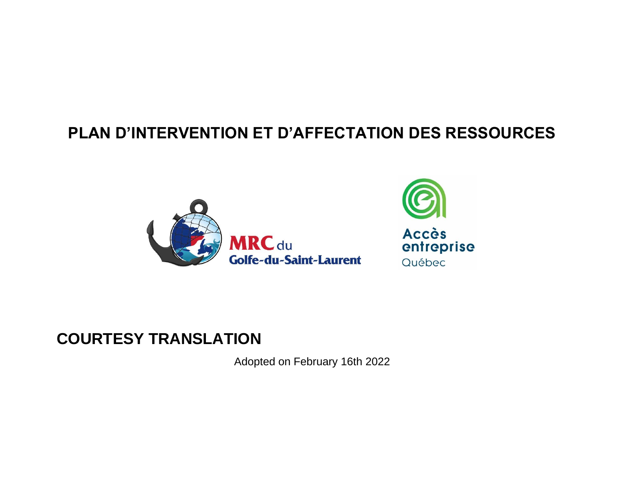# **PLAN D'INTERVENTION ET D'AFFECTATION DES RESSOURCES**





# **COURTESY TRANSLATION**

Adopted on February 16th 2022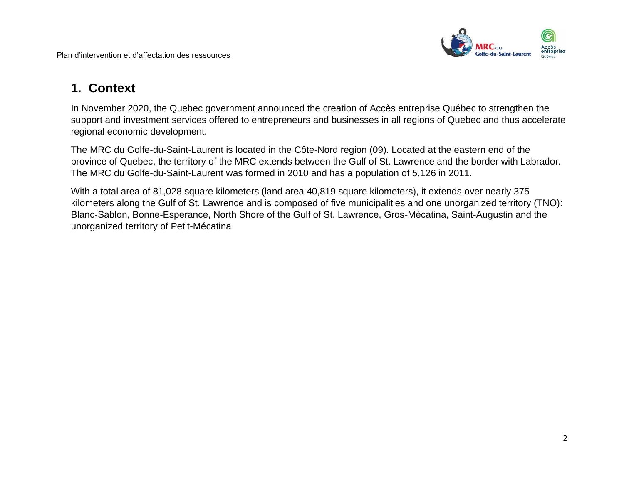

## **1. Context**

In November 2020, the Quebec government announced the creation of Accès entreprise Québec to strengthen the support and investment services offered to entrepreneurs and businesses in all regions of Quebec and thus accelerate regional economic development.

The MRC du Golfe-du-Saint-Laurent is located in the Côte-Nord region (09). Located at the eastern end of the province of Quebec, the territory of the MRC extends between the Gulf of St. Lawrence and the border with Labrador. The MRC du Golfe-du-Saint-Laurent was formed in 2010 and has a population of 5,126 in 2011.

With a total area of 81,028 square kilometers (land area 40,819 square kilometers), it extends over nearly 375 kilometers along the Gulf of St. Lawrence and is composed of five municipalities and one unorganized territory (TNO): Blanc-Sablon, Bonne-Esperance, North Shore of the Gulf of St. Lawrence, Gros-Mécatina, Saint-Augustin and the unorganized territory of Petit-Mécatina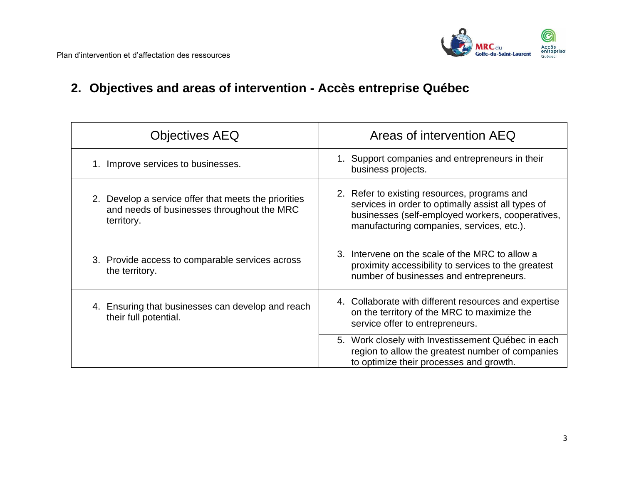

# **2. Objectives and areas of intervention - Accès entreprise Québec**

| <b>Objectives AEQ</b>                                                                                            | Areas of intervention AEQ                                                                                                                                                                           |
|------------------------------------------------------------------------------------------------------------------|-----------------------------------------------------------------------------------------------------------------------------------------------------------------------------------------------------|
| 1. Improve services to businesses.                                                                               | 1. Support companies and entrepreneurs in their<br>business projects.                                                                                                                               |
| 2. Develop a service offer that meets the priorities<br>and needs of businesses throughout the MRC<br>territory. | 2. Refer to existing resources, programs and<br>services in order to optimally assist all types of<br>businesses (self-employed workers, cooperatives,<br>manufacturing companies, services, etc.). |
| 3. Provide access to comparable services across<br>the territory.                                                | 3. Intervene on the scale of the MRC to allow a<br>proximity accessibility to services to the greatest<br>number of businesses and entrepreneurs.                                                   |
| 4. Ensuring that businesses can develop and reach<br>their full potential.                                       | 4. Collaborate with different resources and expertise<br>on the territory of the MRC to maximize the<br>service offer to entrepreneurs.                                                             |
|                                                                                                                  | 5. Work closely with Investissement Québec in each<br>region to allow the greatest number of companies<br>to optimize their processes and growth.                                                   |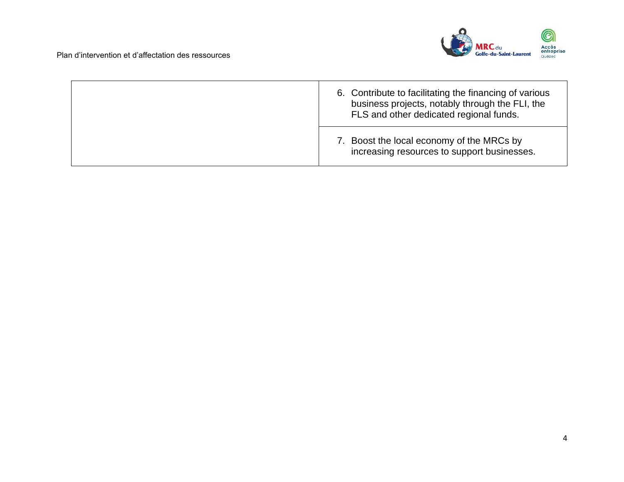

| 6. Contribute to facilitating the financing of various<br>business projects, notably through the FLI, the<br>FLS and other dedicated regional funds. |
|------------------------------------------------------------------------------------------------------------------------------------------------------|
| 7. Boost the local economy of the MRCs by<br>increasing resources to support businesses.                                                             |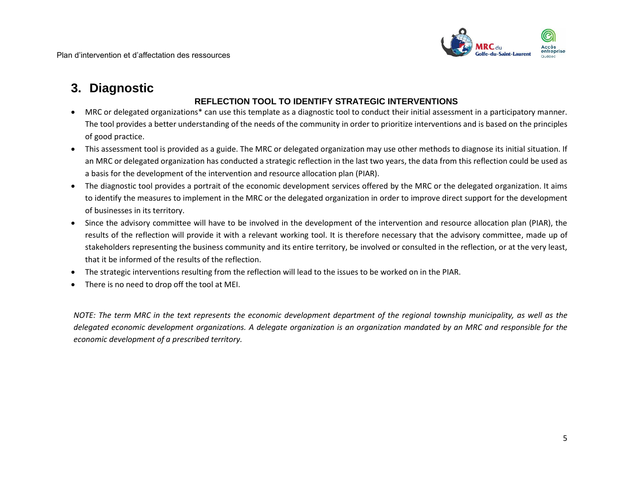

## **3. Diagnostic**

### **REFLECTION TOOL TO IDENTIFY STRATEGIC INTERVENTIONS**

- MRC or delegated organizations\* can use this template as a diagnostic tool to conduct their initial assessment in a participatory manner. The tool provides a better understanding of the needs of the community in order to prioritize interventions and is based on the principles of good practice.
- This assessment tool is provided as a guide. The MRC or delegated organization may use other methods to diagnose its initial situation. If an MRC or delegated organization has conducted a strategic reflection in the last two years, the data from this reflection could be used as a basis for the development of the intervention and resource allocation plan (PIAR).
- The diagnostic tool provides a portrait of the economic development services offered by the MRC or the delegated organization. It aims to identify the measures to implement in the MRC or the delegated organization in order to improve direct support for the development of businesses in its territory.
- Since the advisory committee will have to be involved in the development of the intervention and resource allocation plan (PIAR), the results of the reflection will provide it with a relevant working tool. It is therefore necessary that the advisory committee, made up of stakeholders representing the business community and its entire territory, be involved or consulted in the reflection, or at the very least, that it be informed of the results of the reflection.
- The strategic interventions resulting from the reflection will lead to the issues to be worked on in the PIAR.
- There is no need to drop off the tool at MEI.

*NOTE: The term MRC in the text represents the economic development department of the regional township municipality, as well as the delegated economic development organizations. A delegate organization is an organization mandated by an MRC and responsible for the economic development of a prescribed territory.*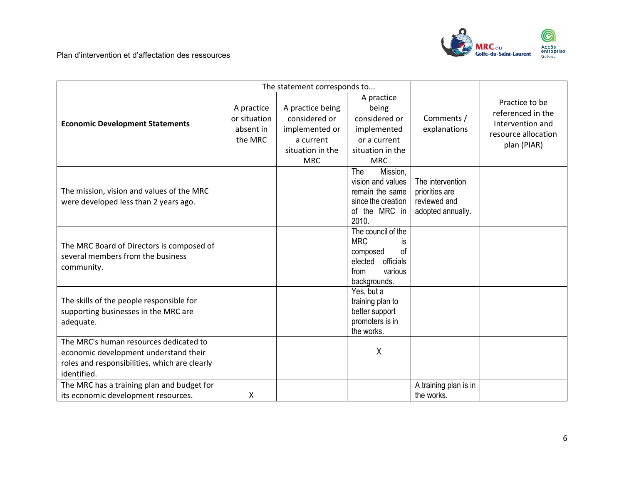

|                                                                                                                                                 |                                                    | The statement corresponds to                                                         |                                                                                                                       |                                                                         |                                                                                               |
|-------------------------------------------------------------------------------------------------------------------------------------------------|----------------------------------------------------|--------------------------------------------------------------------------------------|-----------------------------------------------------------------------------------------------------------------------|-------------------------------------------------------------------------|-----------------------------------------------------------------------------------------------|
| <b>Economic Development Statements</b>                                                                                                          | A practice<br>or situation<br>absent in<br>the MRC | A practice being<br>considered or<br>implemented or<br>a current<br>situation in the | A practice<br>being<br>considered or<br>implemented<br>or a current<br>situation in the                               | Comments /<br>explanations                                              | Practice to be<br>referenced in the<br>Intervention and<br>resource allocation<br>plan (PIAR) |
| The mission, vision and values of the MRC<br>were developed less than 2 years ago.                                                              |                                                    | <b>MRC</b>                                                                           | <b>MRC</b><br>The<br>Mission,<br>vision and values<br>remain the same<br>since the creation<br>of the MRC in<br>2010. | The intervention<br>priorities are<br>reviewed and<br>adopted annually. |                                                                                               |
| The MRC Board of Directors is composed of<br>several members from the business<br>community.                                                    |                                                    |                                                                                      | The council of the<br><b>MRC</b><br>İS.<br>οf<br>composed<br>officials<br>elected<br>from<br>various<br>backgrounds.  |                                                                         |                                                                                               |
| The skills of the people responsible for<br>supporting businesses in the MRC are<br>adequate.                                                   |                                                    |                                                                                      | Yes, but a<br>training plan to<br>better support<br>promoters is in<br>the works.                                     |                                                                         |                                                                                               |
| The MRC's human resources dedicated to<br>economic development understand their<br>roles and responsibilities, which are clearly<br>identified. |                                                    |                                                                                      | X                                                                                                                     |                                                                         |                                                                                               |
| The MRC has a training plan and budget for<br>its economic development resources.                                                               | x                                                  |                                                                                      |                                                                                                                       | A training plan is in<br>the works.                                     |                                                                                               |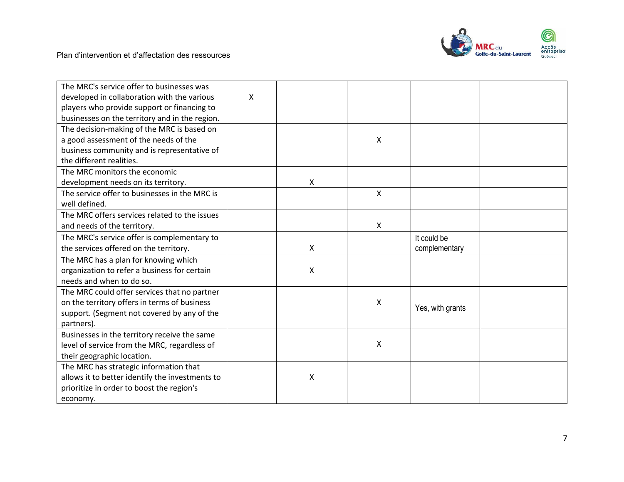

| The MRC's service offer to businesses was       |   |                           |              |                  |  |
|-------------------------------------------------|---|---------------------------|--------------|------------------|--|
| developed in collaboration with the various     | X |                           |              |                  |  |
| players who provide support or financing to     |   |                           |              |                  |  |
| businesses on the territory and in the region.  |   |                           |              |                  |  |
| The decision-making of the MRC is based on      |   |                           |              |                  |  |
| a good assessment of the needs of the           |   |                           | X            |                  |  |
| business community and is representative of     |   |                           |              |                  |  |
| the different realities.                        |   |                           |              |                  |  |
| The MRC monitors the economic                   |   |                           |              |                  |  |
| development needs on its territory.             |   | X                         |              |                  |  |
| The service offer to businesses in the MRC is   |   |                           | $\mathsf{x}$ |                  |  |
| well defined.                                   |   |                           |              |                  |  |
| The MRC offers services related to the issues   |   |                           |              |                  |  |
| and needs of the territory.                     |   |                           | X            |                  |  |
| The MRC's service offer is complementary to     |   |                           |              | It could be      |  |
| the services offered on the territory.          |   | $\boldsymbol{\mathsf{X}}$ |              | complementary    |  |
| The MRC has a plan for knowing which            |   |                           |              |                  |  |
| organization to refer a business for certain    |   | $\boldsymbol{\mathsf{X}}$ |              |                  |  |
| needs and when to do so.                        |   |                           |              |                  |  |
| The MRC could offer services that no partner    |   |                           |              |                  |  |
| on the territory offers in terms of business    |   |                           | X            |                  |  |
| support. (Segment not covered by any of the     |   |                           |              | Yes, with grants |  |
| partners).                                      |   |                           |              |                  |  |
| Businesses in the territory receive the same    |   |                           |              |                  |  |
| level of service from the MRC, regardless of    |   |                           | $\mathsf{X}$ |                  |  |
| their geographic location.                      |   |                           |              |                  |  |
| The MRC has strategic information that          |   |                           |              |                  |  |
| allows it to better identify the investments to |   | $\boldsymbol{\mathsf{X}}$ |              |                  |  |
| prioritize in order to boost the region's       |   |                           |              |                  |  |
| economy.                                        |   |                           |              |                  |  |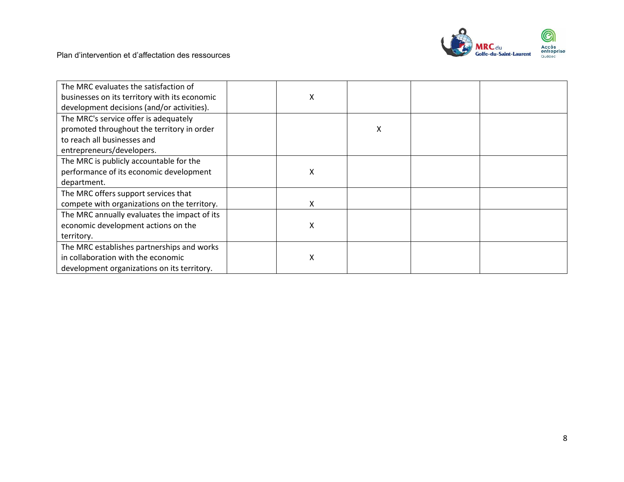

| The MRC evaluates the satisfaction of         |   |   |  |
|-----------------------------------------------|---|---|--|
| businesses on its territory with its economic | х |   |  |
| development decisions (and/or activities).    |   |   |  |
| The MRC's service offer is adequately         |   |   |  |
| promoted throughout the territory in order    |   | X |  |
| to reach all businesses and                   |   |   |  |
| entrepreneurs/developers.                     |   |   |  |
| The MRC is publicly accountable for the       |   |   |  |
| performance of its economic development       | X |   |  |
| department.                                   |   |   |  |
| The MRC offers support services that          |   |   |  |
| compete with organizations on the territory.  | x |   |  |
| The MRC annually evaluates the impact of its  |   |   |  |
| economic development actions on the           | Χ |   |  |
| territory.                                    |   |   |  |
| The MRC establishes partnerships and works    |   |   |  |
| in collaboration with the economic            | χ |   |  |
| development organizations on its territory.   |   |   |  |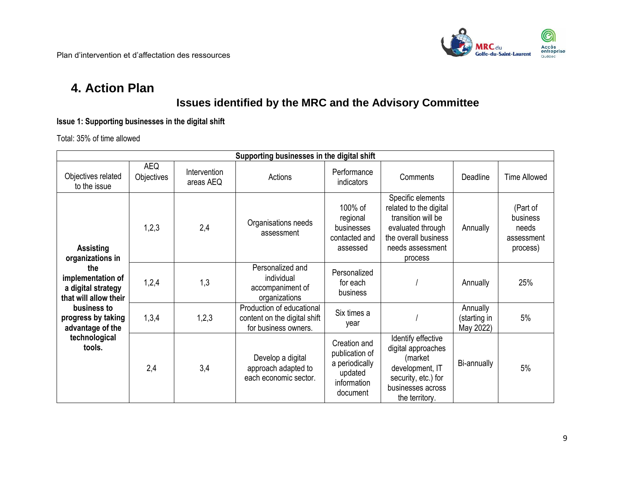

## **4. Action Plan**

### **Issues identified by the MRC and the Advisory Committee**

**Issue 1: Supporting businesses in the digital shift**

Total: 35% of time allowed

|                                                                                                                                     | Supporting businesses in the digital shift                                   |                                      |                                                                                   |                                                                                                                                               |                                                                                                                                      |                                                         |                     |  |  |
|-------------------------------------------------------------------------------------------------------------------------------------|------------------------------------------------------------------------------|--------------------------------------|-----------------------------------------------------------------------------------|-----------------------------------------------------------------------------------------------------------------------------------------------|--------------------------------------------------------------------------------------------------------------------------------------|---------------------------------------------------------|---------------------|--|--|
| Objectives related<br>to the issue                                                                                                  | <b>AEQ</b><br>Objectives                                                     | Intervention<br>areas AEQ            | Actions                                                                           | Performance<br>indicators                                                                                                                     | Comments                                                                                                                             | Deadline                                                | <b>Time Allowed</b> |  |  |
| <b>Assisting</b><br>organizations in                                                                                                | Organisations needs<br>1,2,3<br>2,4<br>assessment<br>Personalized and<br>the |                                      | 100% of<br>regional<br>businesses<br>contacted and<br>assessed                    | Specific elements<br>related to the digital<br>transition will be<br>evaluated through<br>the overall business<br>needs assessment<br>process | Annually                                                                                                                             | (Part of<br>business<br>needs<br>assessment<br>process) |                     |  |  |
| individual<br>implementation of<br>1,2,4<br>1,3<br>accompaniment of<br>a digital strategy<br>that will allow their<br>organizations |                                                                              | Personalized<br>for each<br>business |                                                                                   | Annually                                                                                                                                      | 25%                                                                                                                                  |                                                         |                     |  |  |
| business to<br>progress by taking<br>advantage of the                                                                               | 1,3,4                                                                        | 1,2,3                                | Production of educational<br>content on the digital shift<br>for business owners. | Six times a<br>year                                                                                                                           |                                                                                                                                      | Annually<br>(starting in<br>May 2022)                   | 5%                  |  |  |
| technological<br>tools.                                                                                                             | 2,4                                                                          | 3,4                                  | Develop a digital<br>approach adapted to<br>each economic sector.                 | Creation and<br>publication of<br>a periodically<br>updated<br>information<br>document                                                        | Identify effective<br>digital approaches<br>(market<br>development, IT<br>security, etc.) for<br>businesses across<br>the territory. | Bi-annually                                             | 5%                  |  |  |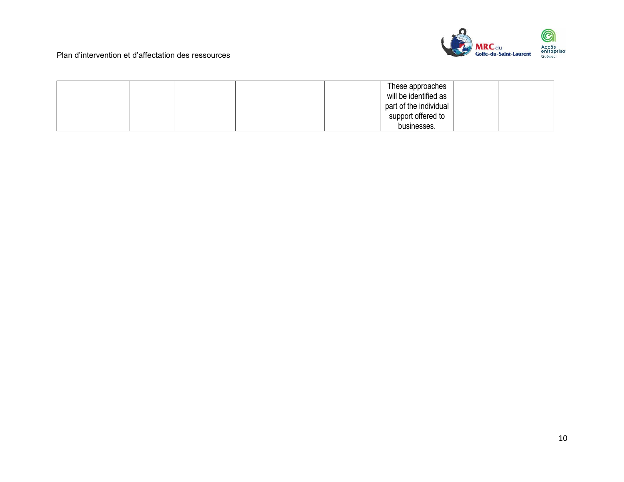

|  |  | These approaches       |  |
|--|--|------------------------|--|
|  |  | will be identified as  |  |
|  |  | part of the individual |  |
|  |  | support offered to     |  |
|  |  | businesses.            |  |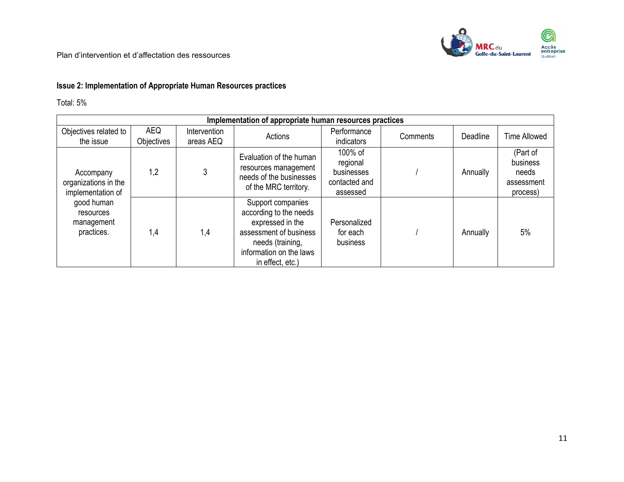### **Issue 2: Implementation of Appropriate Human Resources practices**

Total: 5%

|                                                        | Implementation of appropriate human resources practices |                           |                                                                                                                                                              |                                                                |          |          |                                                         |  |  |  |
|--------------------------------------------------------|---------------------------------------------------------|---------------------------|--------------------------------------------------------------------------------------------------------------------------------------------------------------|----------------------------------------------------------------|----------|----------|---------------------------------------------------------|--|--|--|
| Objectives related to<br>the issue                     | <b>AEQ</b><br>Objectives                                | Intervention<br>areas AEQ | Actions                                                                                                                                                      | Performance<br>indicators                                      | Comments | Deadline | <b>Time Allowed</b>                                     |  |  |  |
| Accompany<br>organizations in the<br>implementation of | 1,2                                                     | 3                         | Evaluation of the human<br>resources management<br>needs of the businesses<br>of the MRC territory.                                                          | 100% of<br>regional<br>businesses<br>contacted and<br>assessed |          | Annually | (Part of<br>business<br>needs<br>assessment<br>process) |  |  |  |
| good human<br>resources<br>management<br>practices.    | 1,4                                                     | 1,4                       | Support companies<br>according to the needs<br>expressed in the<br>assessment of business<br>needs (training,<br>information on the laws<br>in effect, etc.) | Personalized<br>for each<br>business                           |          | Annually | 5%                                                      |  |  |  |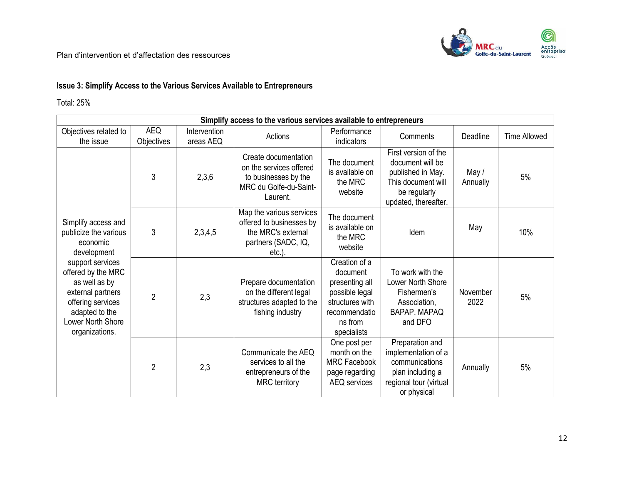

### **Issue 3: Simplify Access to the Various Services Available to Entrepreneurs**

Total: 25%

| Simplify access to the various services available to entrepreneurs                                                                                         |                          |                           |                                                                                                                |                                                                                                                             |                                                                                                                             |                   |                     |  |
|------------------------------------------------------------------------------------------------------------------------------------------------------------|--------------------------|---------------------------|----------------------------------------------------------------------------------------------------------------|-----------------------------------------------------------------------------------------------------------------------------|-----------------------------------------------------------------------------------------------------------------------------|-------------------|---------------------|--|
| Objectives related to<br>the issue                                                                                                                         | <b>AEQ</b><br>Objectives | Intervention<br>areas AEQ | Actions                                                                                                        | Performance<br>indicators                                                                                                   | Comments                                                                                                                    | Deadline          | <b>Time Allowed</b> |  |
|                                                                                                                                                            | 3                        | 2,3,6                     | Create documentation<br>on the services offered<br>to businesses by the<br>MRC du Golfe-du-Saint-<br>Laurent.  | The document<br>is available on<br>the MRC<br>website                                                                       | First version of the<br>document will be<br>published in May.<br>This document will<br>be regularly<br>updated, thereafter. | May /<br>Annually | 5%                  |  |
| Simplify access and<br>publicize the various<br>economic<br>development                                                                                    | 3                        | 2,3,4,5                   | Map the various services<br>offered to businesses by<br>the MRC's external<br>partners (SADC, IQ,<br>$etc.$ ). | The document<br>is available on<br>the MRC<br>website                                                                       | Idem                                                                                                                        | May               | 10%                 |  |
| support services<br>offered by the MRC<br>as well as by<br>external partners<br>offering services<br>adapted to the<br>Lower North Shore<br>organizations. | $\overline{2}$           | 2,3                       | Prepare documentation<br>on the different legal<br>structures adapted to the<br>fishing industry               | Creation of a<br>document<br>presenting all<br>possible legal<br>structures with<br>recommendatio<br>ns from<br>specialists | To work with the<br>Lower North Shore<br>Fishermen's<br>Association,<br>BAPAP, MAPAQ<br>and DFO                             | November<br>2022  | 5%                  |  |
|                                                                                                                                                            | $\overline{2}$           | 2,3                       | Communicate the AEQ<br>services to all the<br>entrepreneurs of the<br><b>MRC</b> territory                     | One post per<br>month on the<br><b>MRC Facebook</b><br>page regarding<br>AEQ services                                       | Preparation and<br>implementation of a<br>communications<br>plan including a<br>regional tour (virtual<br>or physical       | Annually          | 5%                  |  |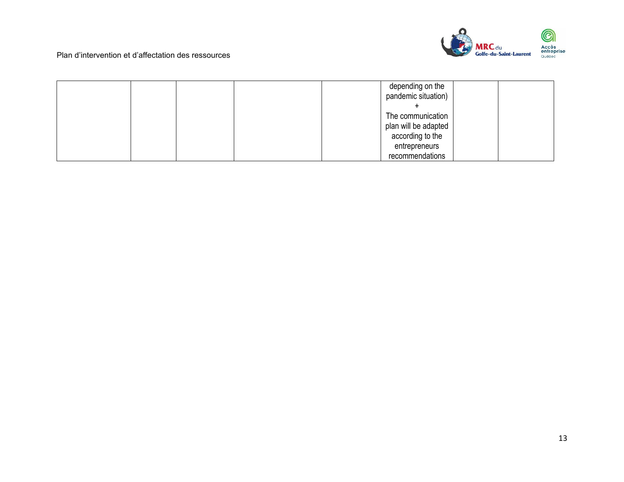

|  | depending on the<br>pandemic situation) |  |
|--|-----------------------------------------|--|
|  |                                         |  |
|  | The communication                       |  |
|  | plan will be adapted                    |  |
|  | according to the                        |  |
|  | entrepreneurs                           |  |
|  | recommendations                         |  |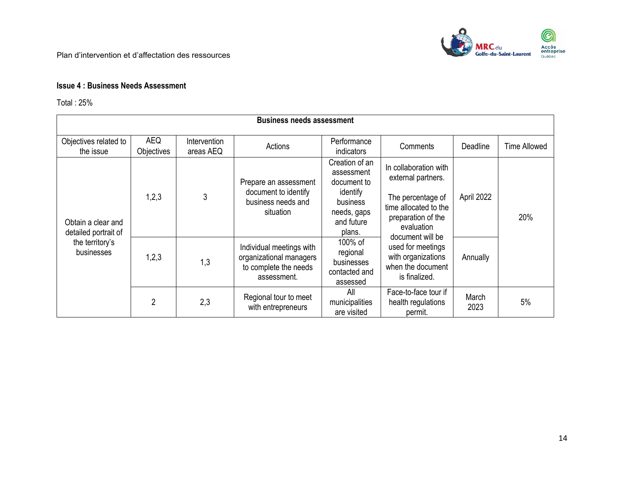

### **Issue 4 : Business Needs Assessment**

Total : 25%

| <b>Business needs assessment</b>           |                          |                           |                                                                                             |                                                                                                            |                                                                                                                                                   |               |                     |  |  |  |
|--------------------------------------------|--------------------------|---------------------------|---------------------------------------------------------------------------------------------|------------------------------------------------------------------------------------------------------------|---------------------------------------------------------------------------------------------------------------------------------------------------|---------------|---------------------|--|--|--|
| Objectives related to<br>the issue         | <b>AEQ</b><br>Objectives | Intervention<br>areas AEQ | Actions                                                                                     | Performance<br>indicators                                                                                  | Comments                                                                                                                                          | Deadline      | <b>Time Allowed</b> |  |  |  |
| Obtain a clear and<br>detailed portrait of | 1,2,3                    | 3                         | Prepare an assessment<br>document to identify<br>business needs and<br>situation            | Creation of an<br>assessment<br>document to<br>identify<br>business<br>needs, gaps<br>and future<br>plans. | In collaboration with<br>external partners.<br>The percentage of<br>time allocated to the<br>preparation of the<br>evaluation<br>document will be | April 2022    | 20%                 |  |  |  |
| the territory's<br>businesses              | 1,2,3                    | 1,3                       | Individual meetings with<br>organizational managers<br>to complete the needs<br>assessment. | 100% of<br>regional<br>businesses<br>contacted and<br>assessed                                             | used for meetings<br>with organizations<br>when the document<br>is finalized.                                                                     | Annually      |                     |  |  |  |
|                                            | $\overline{2}$           | 2,3                       | Regional tour to meet<br>with entrepreneurs                                                 | All<br>municipalities<br>are visited                                                                       | Face-to-face tour if<br>health regulations<br>permit.                                                                                             | March<br>2023 | 5%                  |  |  |  |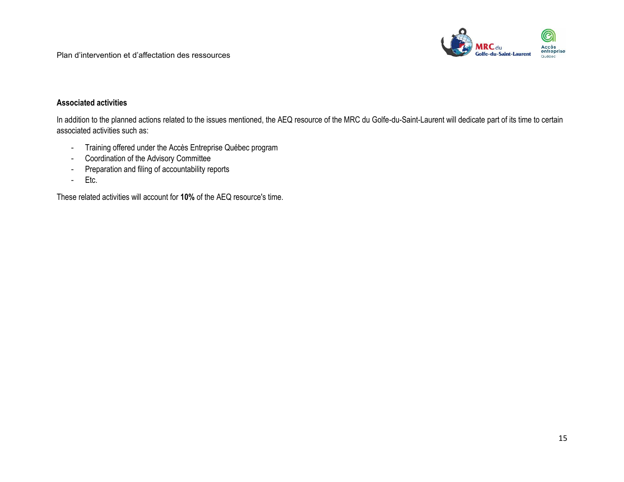

#### **Associated activities**

In addition to the planned actions related to the issues mentioned, the AEQ resource of the MRC du Golfe-du-Saint-Laurent will dedicate part of its time to certain associated activities such as:

- Training offered under the Accès Entreprise Québec program
- Coordination of the Advisory Committee
- Preparation and filing of accountability reports
- Etc.

These related activities will account for **10%** of the AEQ resource's time.